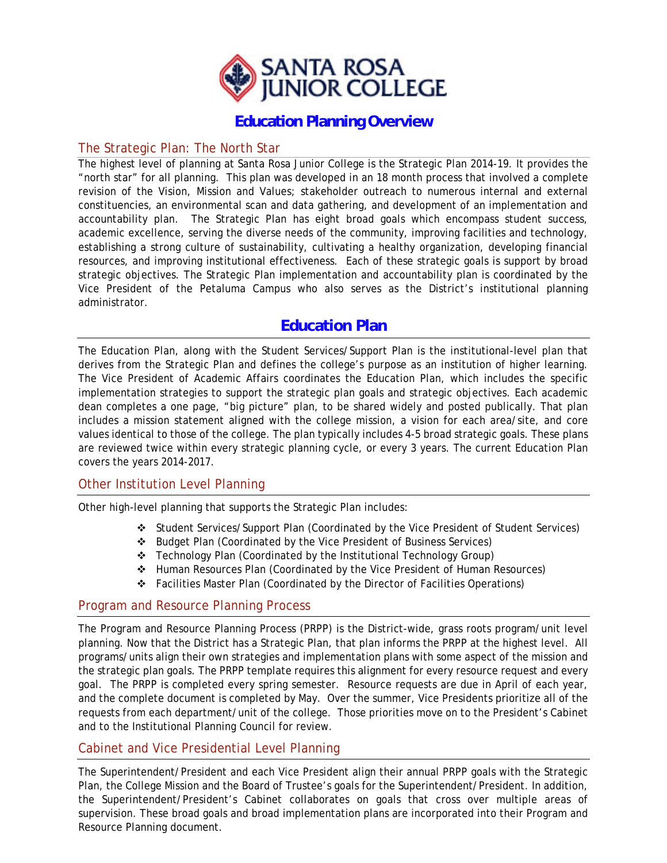

### **Education Planning Overview**

### The Strategic Plan: The North Star

The highest level of planning at Santa Rosa Junior College is the Strategic Plan 2014-19. It provides the "north star" for all planning. This plan was developed in an 18 month process that involved a complete revision of the Vision, Mission and Values; stakeholder outreach to numerous internal and external constituencies, an environmental scan and data gathering, and development of an implementation and accountability plan. The Strategic Plan has eight broad goals which encompass student success, academic excellence, serving the diverse needs of the community, improving facilities and technology, establishing a strong culture of sustainability, cultivating a healthy organization, developing financial resources, and improving institutional effectiveness. Each of these strategic goals is support by broad strategic objectives. The Strategic Plan implementation and accountability plan is coordinated by the Vice President of the Petaluma Campus who also serves as the District's institutional planning administrator.

### **Education Plan**

The Education Plan, along with the Student Services/Support Plan is the institutional-level plan that derives from the Strategic Plan and defines the college's purpose as an institution of higher learning. The Vice President of Academic Affairs coordinates the Education Plan, which includes the specific implementation strategies to support the strategic plan goals and strategic objectives. Each academic dean completes a one page, "big picture" plan, to be shared widely and posted publically. That plan includes a mission statement aligned with the college mission, a vision for each area/site, and core values identical to those of the college. The plan typically includes 4-5 broad strategic goals. These plans are reviewed twice within every strategic planning cycle, or every 3 years. The current Education Plan covers the years 2014-2017.

### Other Institution Level Planning

Other high-level planning that supports the Strategic Plan includes:

- Student Services/Support Plan (Coordinated by the Vice President of Student Services)
- Budget Plan (Coordinated by the Vice President of Business Services)
- Technology Plan (Coordinated by the Institutional Technology Group)
- Human Resources Plan (Coordinated by the Vice President of Human Resources)
- Facilities Master Plan (Coordinated by the Director of Facilities Operations)

### Program and Resource Planning Process

The Program and Resource Planning Process (PRPP) is the District-wide, grass roots program/unit level planning. Now that the District has a Strategic Plan, that plan informs the PRPP at the highest level. All programs/units align their own strategies and implementation plans with some aspect of the mission and the strategic plan goals. The PRPP template requires this alignment for every resource request and every goal. The PRPP is completed every spring semester. Resource requests are due in April of each year, and the complete document is completed by May. Over the summer, Vice Presidents prioritize all of the requests from each department/unit of the college. Those priorities move on to the President's Cabinet and to the Institutional Planning Council for review.

### Cabinet and Vice Presidential Level Planning

The Superintendent/President and each Vice President align their annual PRPP goals with the Strategic Plan, the College Mission and the Board of Trustee's goals for the Superintendent/President. In addition, the Superintendent/President's Cabinet collaborates on goals that cross over multiple areas of supervision. These broad goals and broad implementation plans are incorporated into their Program and Resource Planning document.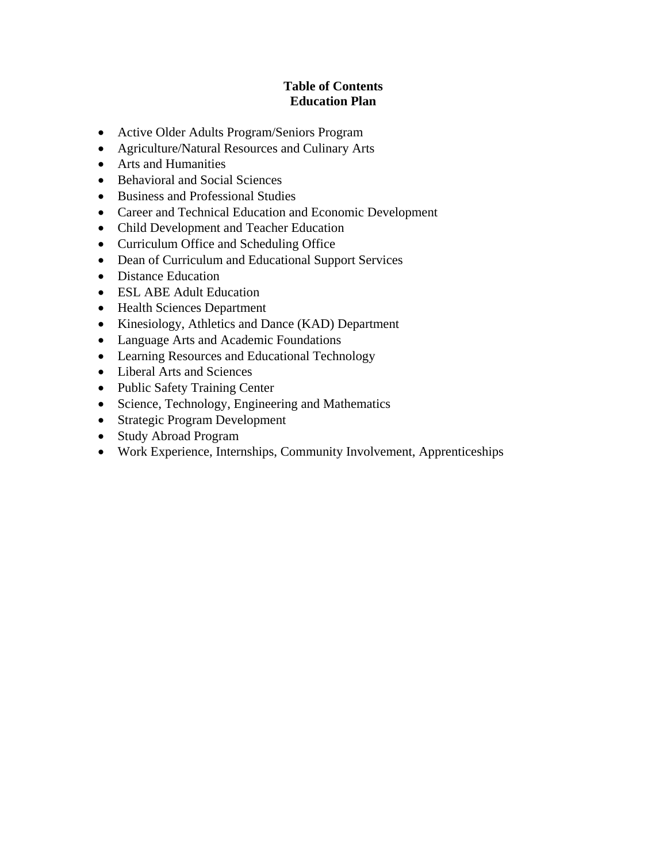### **Table of Contents Education Plan**

- [Active Older Adults Program/Seniors Program](#page-2-0)
- [Agriculture/Natural Resources and Culinary Arts](#page-3-0)
- [Arts and Humanities](#page-4-0)
- Behavioral and Social Sciences
- Business and Professional Studies
- [Career and Technical Education and Economic Development](#page-7-0)
- [Child Development and Teacher Education](#page-8-0)
- [Curriculum Office and Scheduling Office](#page-9-0)
- Dean of Curriculum and Educational Support Services
- Distance Education
- [ESL ABE Adult Education](#page-12-0)
- Health Sciences Department
- Kinesiology, Athletics and Dance (KAD) Department
- [Language Arts and Academic Foundations](#page-15-0)
- Learning Resources and Educational Technology
- [Liberal Arts and Sciences](#page-17-0)
- Public Safety Training Center
- Science, Technology, Engineering and Mathematics
- Strategic Program Development
- Study Abroad Program
- [Work Experience, Internships, Community Involvement, Apprenticeships](#page-22-0)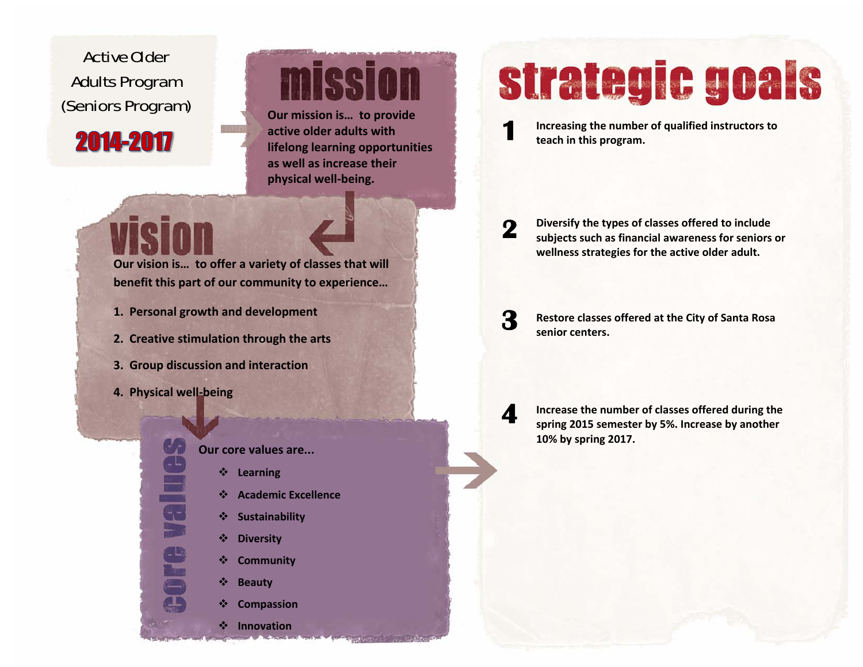## <span id="page-2-0"></span>Active Older Adults Program **(Seniors Program)**

2014-2017



 **mission is… to provide active older adults withlifelong learning opportunities as well as increase their physical well‐being.**

### **Our vision is… to offer <sup>a</sup> variety of classes that will benefit this part of our community to experience…**

- **1. Personal growth and development**
- **2. Creative stimulation through the arts**
- **3. Group discussion and interaction**
- **4. Physical well‐being**

**High**es

### **Our core values are...**

- **Learning**
- $\frac{1}{2}$ **Academic Excellence**
- **Sustainability**
- **Diversity**
- **Community**
- 鼞 **Beauty**
- 鼞 **Compassion**

**Innovation**

# strategic goals

**Increasing the number of qualified instructors to teach in this program.**

**Diversify the types of classes offered to include subjects such as financial awareness for seniors or wellness strategies for the active older adult. 2** 

**Restore classes offered at the City of Santa Rosa senior centers.**

**Increase the number of classes offered during the spring 2015 semester by 5%. Increase by another 10% by spring 2017.**

**4** 

**3**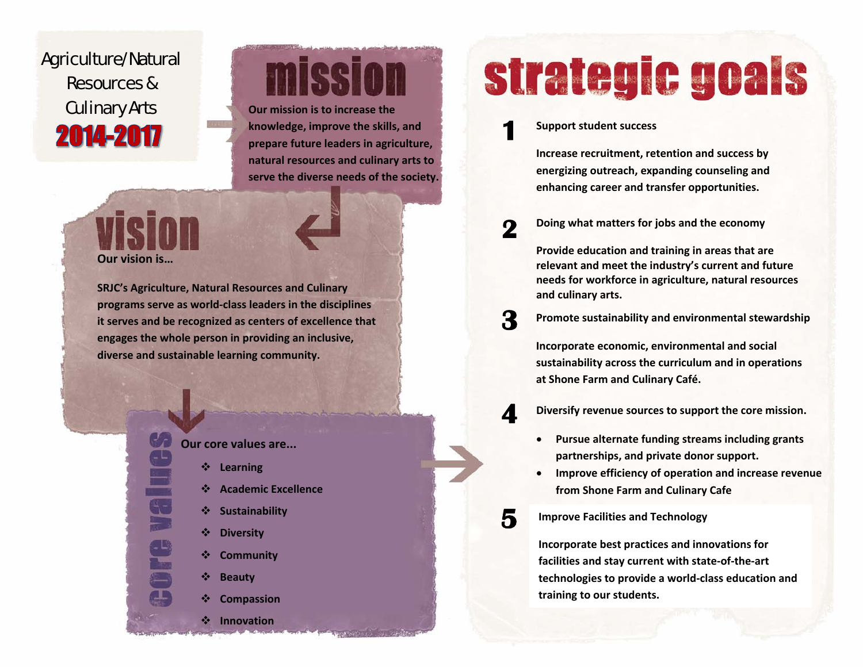## <span id="page-3-0"></span>Agriculture/Natural Resources & Culinary Arts **Our mission is to increase the** 2014-2017

# missian

**knowledge, improve the skills, and prepare future leaders in agriculture, natural resources and culinary arts to serve the diverse needs of the society.**

**Our vision is…**

**SRJC's Agriculture, Natural Resources and Culinary programs serve as world‐class leaders in the disciplines it serves and be recognized as centers of excellence that engages the whole person in providing an inclusive, diverse and sustainable learning community.**



**Our core values are...**

- ❖ **Learning**
- ❖ **Academic Excellence**
- ❖ **Sustainability**
- ❖ **Diversity**
- ❖ **Community**
- ❖ **Beauty**

❖

❖ **Compassion**

**Innovation**

# strategic goals

**Support student success 1** 

> **Increase recruitment, retention and success by energizing outreach, expanding counseling and enhancing career and transfer opportunities.**

**Doing what matters for jobs and the economy 2** 

> **Provide education and training in areas that are relevant and meet the industry's current and future needs for workforce in agriculture, natural resources and culinary arts.**

**Promote sustainability and environmental stewardship**

**Incorporate economic, environmental and social sustainability across the curriculum and in operations at Shone Farm and Culinary Café.**

**Diversify revenue sources to support the core mission. 4** 

- . **Pursue alternate funding streams including grants partnerships, and private donor support.**
- . **Improve efficiency of operation and increase revenue from Shone Farm and Culinary Cafe**
- **Improve Facilities and Technology**

**3** 

**5** 

**Incorporate best practices and innovations for facilities and stay current with state‐of‐the‐art technologies to provide <sup>a</sup> world‐class education and training to our students.**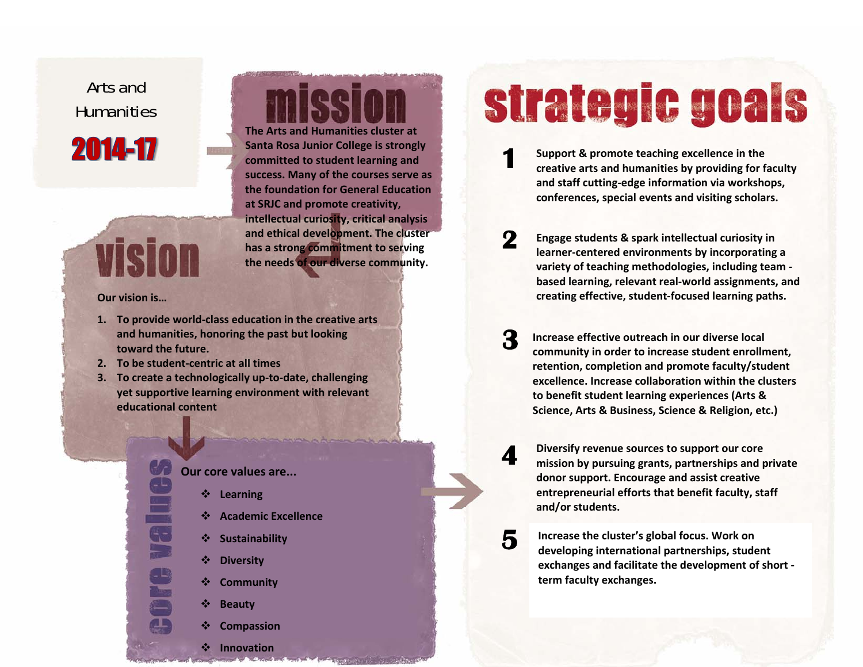<span id="page-4-0"></span>Arts and **Humanities** 

2014-17

# vision

**Our vision is…**

- **1. To provide world‐class education in the creative arts and humanities, honoring the past but looking toward the future.**
- **2. To be student‐centric at all times**
- **3. To create <sup>a</sup> technologically up‐to‐date, challenging yet supportive learning environment with relevant educational content**

**Learning**

**Diversity**

**Beauty**

**Community**

**Compassion**

**Innovation**

**Sustainability**

**Academic Excellence**

## **Our core values are...** ❖  $\frac{1}{2}$ ❖  $\frac{1}{2}$ ❖ ❖ ❖ ❖

**The Arts and Humanities cluster at Santa Rosa Junior College is strongly committed to student learning and success. Many of the courses serve as the foundation for General Education at SRJC and promote creativity, intellectual curiosity, critical analysis and ethical development. The cluster has a strong commitment to serving the needs of our diverse community.**

CC

# strategic goals

- **Support & promote teaching excellence in the creative arts and humanities by providing for faculty and staff cutting‐edge information via workshops, conferences, special events and visiting scholars. 1**
- **Engage students & spark intellectual curiosity in learner‐centered environments by incorporating <sup>a</sup> variety of teaching methodologies, including team ‐ based learning, relevant real‐world assignments, and creating effective, student‐focused learning paths. 2**
- **Increase effective outreach in our diverse local community in order to increase student enrollment, retention, completion and promote faculty/student excellence. Increase collaboration within the clusters to benefit student learning experiences (Arts & Science, Arts & Business, Science & Religion, etc.) 3** 
	- **Diversify revenue sources to support our core mission by pursuing grants, partnerships and private donor support. Encourage and assist creative entrepreneurial efforts that benefit faculty, staff and/or students.**

**4** 

**5** 

**Increase the cluster's global focus. Work on developing international partnerships, student exchanges and facilitate the development of short ‐ term faculty exchanges.**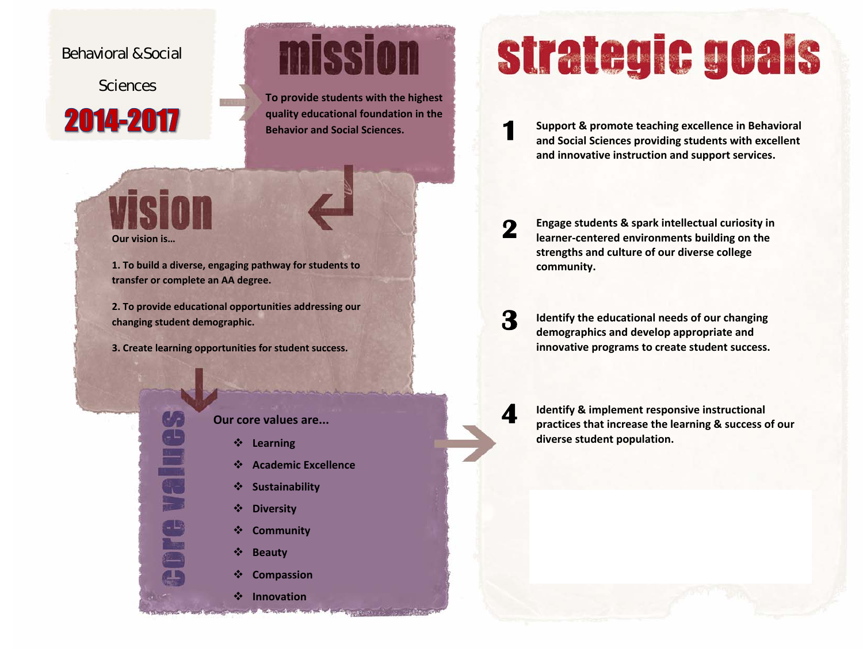### <span id="page-5-0"></span>Behavioral & Social

**Sciences** 

## 2014-2017



**To provide students with the highest quality educational foundation in the Behavior and Social Sciences.**



Bellies

e<br>S

**1. To build <sup>a</sup> diverse, engaging pathway for students to transfer or complete an AA degree.**

**2. To provide educational opportunities addressing our changing student demographic.**

**3. Create learning opportunities for student success.**

**Our core values are...**

- ❖ **Learning**
- ❖ **Academic Excellence**
- ❖ **Sustainability**
- ❖ **Diversity**
- $\frac{1}{2}$ **Community**
- $\frac{1}{2}$ **Beauty**
- $\frac{1}{2}$ **Compassion**
- **Innovation**

# strategic goals

**Support & promote teaching excellence in Behavioral and Social Sciences providing students with excellent and innovative instruction and support services.**

**Engage students & spark intellectual curiosity in learner‐centered environments building on the strengths and culture of our diverse college community. 2** 

**Identify the educational needs of our changing demographics and develop appropriate and innovative programs to create student success. 3** 

**4** 

**1** 

**Identify & implement responsive instructional practices that increase the learning & success of our diverse student population.**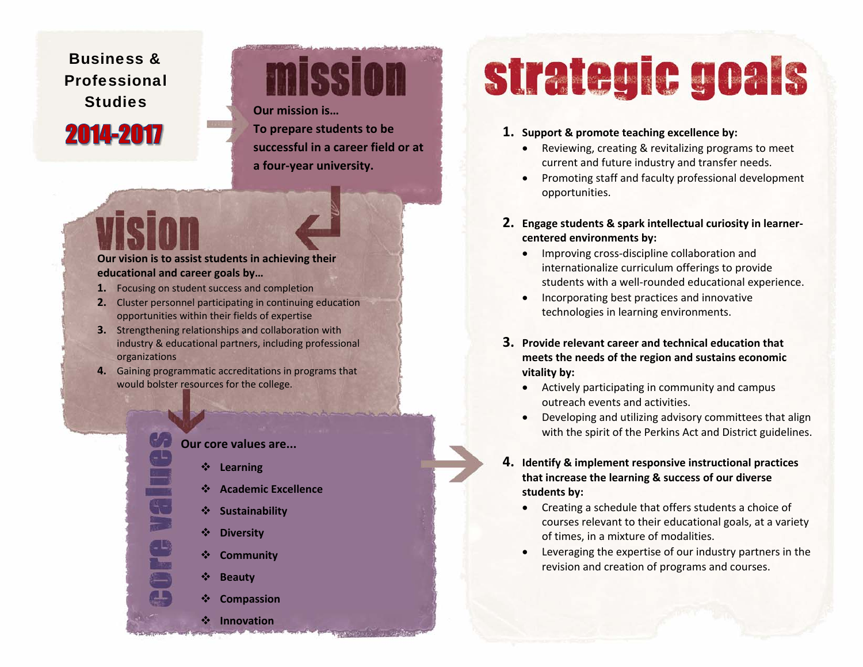### <span id="page-6-0"></span>Business & Professional **Studies**

2014-2017

# mission

**Our mission is…**

**To prepare students to be successful in <sup>a</sup> career field or at a four‐year university.**

### **Our vision is to assist students in achieving their educational and career goals by…**

- **1.** Focusing on student success and completion
- **2.** Cluster personnel participating in continuing education opportunities within their fields of expertise
- **3.** Strengthening relationships and collaboration with industry & educational partners, including professional organizations
- **4.** Gaining programmatic accreditations in programs that would bolster resources for the college.



- ❖ **Learning**
- ❖ **Academic Excellence**
- ❖ **Sustainability**
- $\frac{1}{2}$ **Diversity**
- ❖ **Community**
- ❖ **Beauty**
- ❖ **Compassion**

**Innovation**

# strategic goals

### **1. Support & promote teaching excellence by:**

- Reviewing, creating & revitalizing programs to meet current and future industry and transfer needs.
- Promoting staff and faculty professional development opportunities.
- **2. Engage students & spark intellectual curiosity in learner‐ centered environments by:**
	- Improving cross-discipline collaboration and internationalize curriculum offerings to provide students with <sup>a</sup> well‐rounded educational experience.
	- **•** Incorporating best practices and innovative technologies in learning environments.
- **3. Provide relevant career and technical education that meets the needs of the region and sustains economic vitality by:**
	- Actively participating in community and campus outreach events and activities.
	- Developing and utilizing advisory committees that align with the spirit of the Perkins Act and District guidelines.

### **4. Identify & implement responsive instructional practices that increase the learning & success of our diverse students by:**

- Creating <sup>a</sup> schedule that offers students <sup>a</sup> choice of courses relevant to their educational goals, at <sup>a</sup> variety of times, in <sup>a</sup> mixture of modalities.
- Leveraging the expertise of our industry partners in the revision and creation of programs and courses.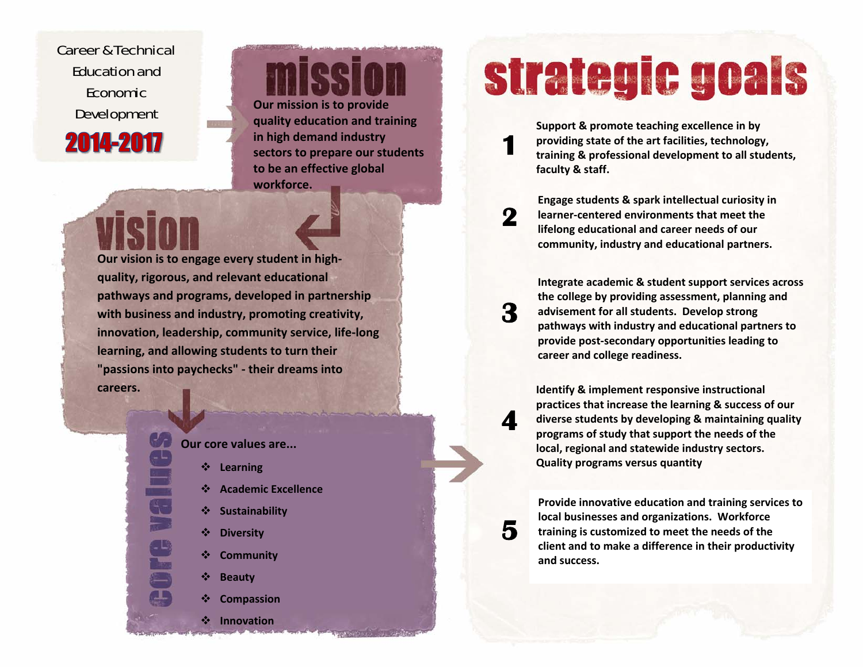<span id="page-7-0"></span>Career & Technical Education and Economic 2014-2017

**Development Our** mission is to provide<br>quality education and training

**in high demand industry sectors to prepare our students to be an effective global workforce.**

**Our vision is to engage every student in high‐ quality, rigorous, and relevant educational pathways and programs, developed in partnership with business and industry, promoting creativity, innovation, leadership, community service, life‐long learning, and allowing students to turn their "passions into paychecks" ‐ their dreams into careers.**



- ❖ **Learning**
- ❖ **Academic Excellence**
- ❖ **Sustainability**
- $\frac{1}{2}$ **Diversity**
- ❖ **Community**
- ❖ **Beauty**

 $\frac{1}{2}$ 

❖ **Compassion**

**Innovation**

# strategic goals

**Support & promote teaching excellence in by providing state of the art facilities, technology, training & professional development to all students, faculty & staff.**

**Engage students & spark intellectual curiosity in learner‐centered environments that meet the lifelong educational and career needs of our community, industry and educational partners.**

**Integrate academic & student support services across the college by providing assessment, planning and advisement for all students. Develop strong pathways with industry and educational partners to provide post‐secondary opportunities leading to career and college readiness.**

**Identify & implement responsive instructional practices that increase the learning & success of our diverse students by developing & maintaining quality programs of study that support the needs of the local, regional and statewide industry sectors. Quality programs versus quantity**

**4** 

**5** 

**1** 

**2** 

**3** 

**Provide innovative education and training services to local businesses and organizations. Workforce training is customized to meet the needs of the client and to make <sup>a</sup> difference in their productivity and success.**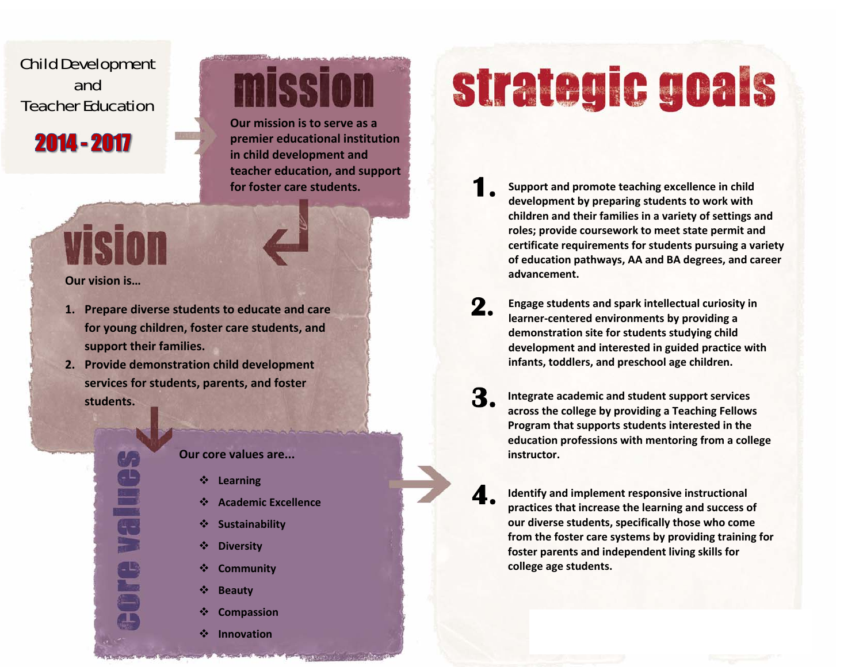### <span id="page-8-0"></span>Child Development and Teacher Education



## VISI

**SPORT** 

### **Our vision is…**

- **1. Prepare diverse students to educate and care for young children, foster care students, and support their families.**
- **2. Provide demonstration child development services for students, parents, and foster students.**

### **Our core values are...**

- $\frac{1}{2}$ **Learning**
- ❖ **Academic Excellence**

**Our mission is to serve as a premier educational institution**

**mission** 

**in child development and**

**for foster care students.**

**teacher education, and support**

- $\frac{1}{2}$ **Sustainability**
- ❖ **Diversity**
- $\frac{1}{2}$ **Community**
- ❖ **Beauty**
- $\frac{1}{2}$ **Compassion**
- $\frac{1}{2}$ **Innovation**

# strategic goals

- **Support and promote teaching excellence in child development by preparing students to work with children and their families in <sup>a</sup> variety of settings and roles; provide coursework to meet state permit and certificate requirements for students pursuing <sup>a</sup> variety of education pathways, AA and BA degrees, and career advancement.1.**
- **Engage students and spark intellectual curiosity in learner‐centered environments by providing <sup>a</sup> demonstration site for students studying child development and interested in guided practice with infants, toddlers, and preschool age children. 2.**
- **Integrate academic and student support services across the college by providing <sup>a</sup> Teaching Fellows Program that supports students interested in the education professions with mentoring from <sup>a</sup> college instructor.3.**
	- **Identify and implement responsive instructional practices that increase the learning and success of our diverse students, specifically those who come from the foster care systems by providing training for foster parents and independent living skills for college age students.**

**4.**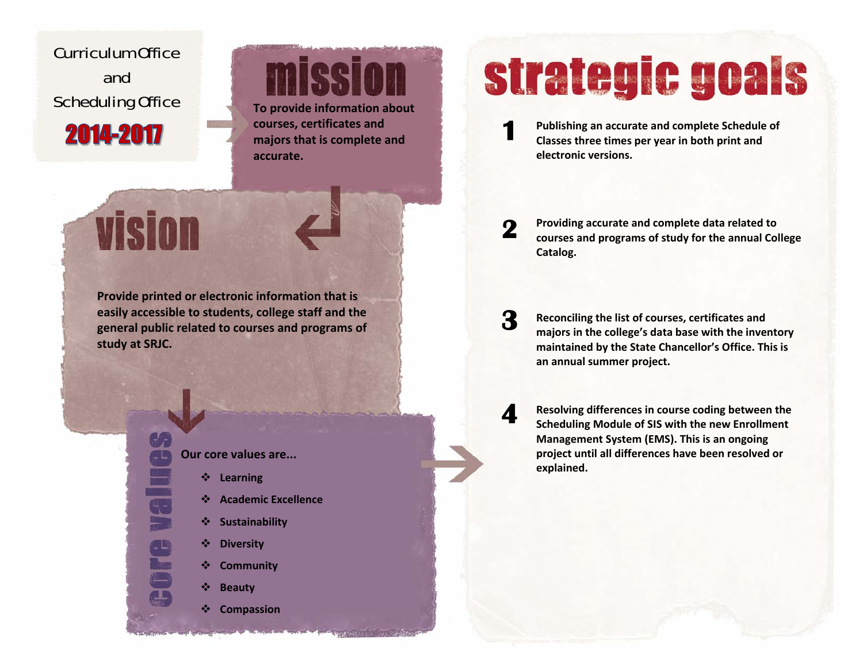<span id="page-9-0"></span>Curriculum Office and **Scheduling Office** 

2014-2017

**vision** 

icei **provide information about**

**courses, certificates and majors that is complete and accurate.**

**Provide printed or electronic information that is easily accessible to students, college staff and the general public related to courses and programs of study at SRJC.**

> **Our core values are...** 豪 **Learning** ❖ **Academic Excellence** ❖ **Sustainability**  $\frac{1}{2}$  **Diversity**  $\frac{1}{2}$  **Community**  $\frac{1}{2}$ **Beauty**

> > ❖ **Compassion**

# strategic goals

**Publishing an accurate and complete Schedule of Classes three times per year in both print and electronic versions. 1** 

**Providing accurate and complete data related to courses and programs of study for the annual College Catalog. 2** 

**Reconciling the list of courses, certificates and majors in the college's data base with the inventory maintained by the State Chancellor's Office. This is an annual summer project. 3** 

**Resolving differences in course coding between the Scheduling Module of SIS with the new Enrollment Management System (EMS). This is an ongoing project until all differences have been resolved or explained. 4**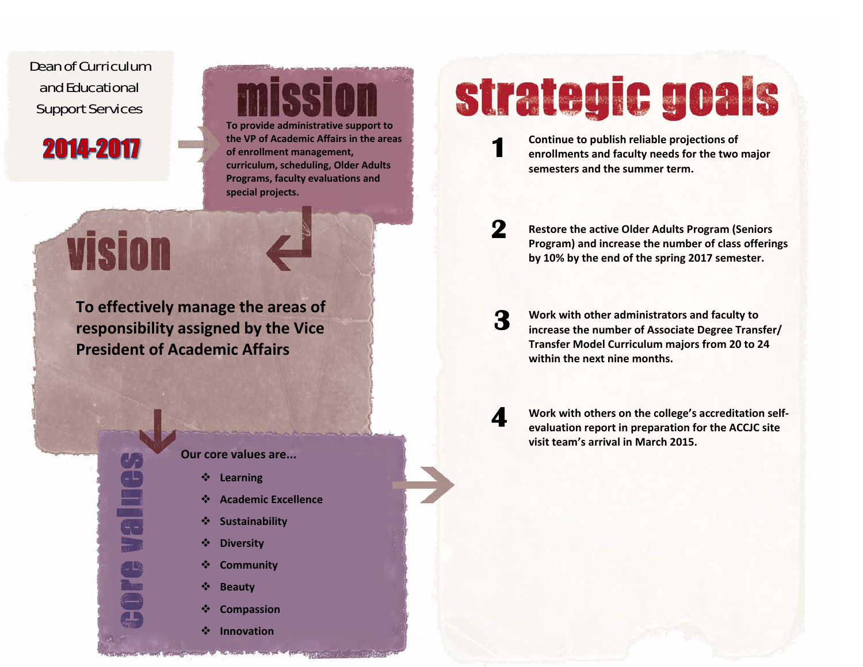<span id="page-10-0"></span>Dean of Curriculum and EducationalSupport Services

## 2014-2017

**To provide administrative support to the VP of Academic Affairs in the areas of enrollment management, curriculum, scheduling, Older Adults Programs, faculty evaluations and special projects.**

# strategic goals

**Continue to publish reliable projections of enrollments and faculty needs for the two major semesters and the summer term.**

vision

**To effectively manage the areas of responsibility assigned by the Vice President of Academic Affairs**

> **SPIRE** Core

### **Our core values are...**

- ❖ **Learning**
- $\frac{1}{2}$ **Academic Excellence**
- 豪 **Sustainability**
- $\frac{1}{2}$ **Diversity**
- ❖ **Community**
- ❖ **Beauty**
- 豪 **Compassion**
- $\frac{1}{2}$ **Innovation**

### **Restore the active Older Adults Program (Seniors Program) and increase the number of class offerings by 10% by the end of the spring 2017 semester. 2**

**Work with other administrators and faculty to increase the number of Associate Degree Transfer/ Transfer Model Curriculum majors from 20 to 24 within the next nine months. 3** 

> **Work with others on the college's accreditation self‐ evaluation report in preparation for the ACCJC site visit team's arrival in March 2015.**

**4**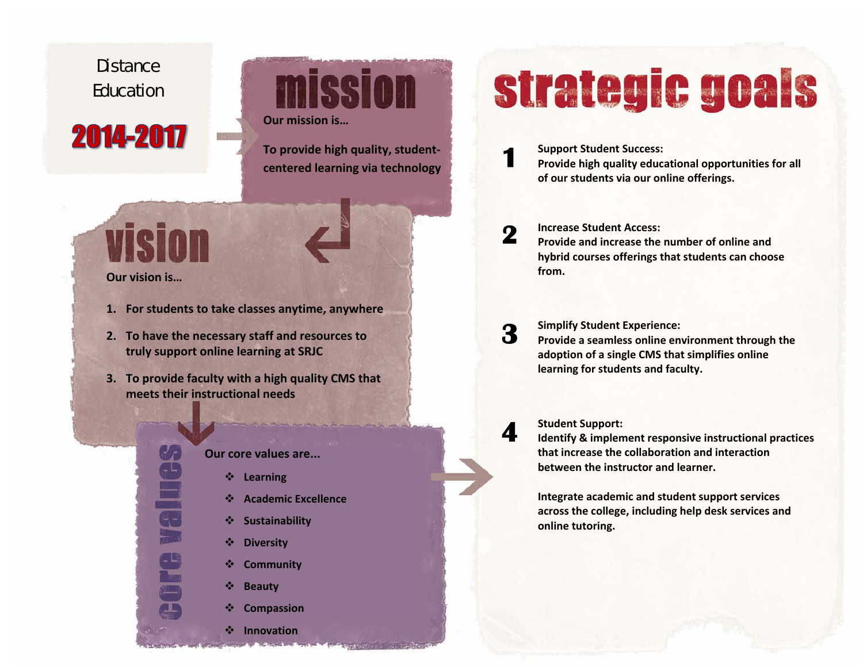## <span id="page-11-0"></span>**Distance** Education

## 2014-2017

**mission Our mission is…**

**To provide high quality, student‐ centered learning via technology**

**Selle** 

e<br>S

### **Our vision is…**

- **1. For students to take classes anytime, anywhere**
- **2. To have the necessary staff and resources to truly support online learning at SRJC**
- **3. To provide faculty with <sup>a</sup> high quality CMS that meets their instructional needs**

### **Our core values are...**

- ❖ **Learning**
- $\frac{1}{2}$ **Academic Excellence**
- $\frac{1}{2}$ **Sustainability**
- $\frac{1}{2}$ **Diversity**
- $\frac{1}{2}$ **Community**
- $\frac{1}{2}$ **Beauty**
- ❖ **Compassion**

**Innovation**

# strategic goals

- **Support Student Success: Provide high quality educational opportunities for all of our students via our online offerings. 1**
- **Increase Student Access: Provide and increase the number of online and hybrid courses offerings that students can choose from.2**
- **Simplify Student Experience: Provide <sup>a</sup> seamless online environment through the adoption of <sup>a</sup> single CMS that simplifies online learning for students and faculty. 3**

### **Student Support:**

**4** 

**Identify & implement responsive instructional practices that increase the collaboration and interaction between the instructor and learner.**

**Integrate academic and student support services across the college, including help desk services and online tutoring.**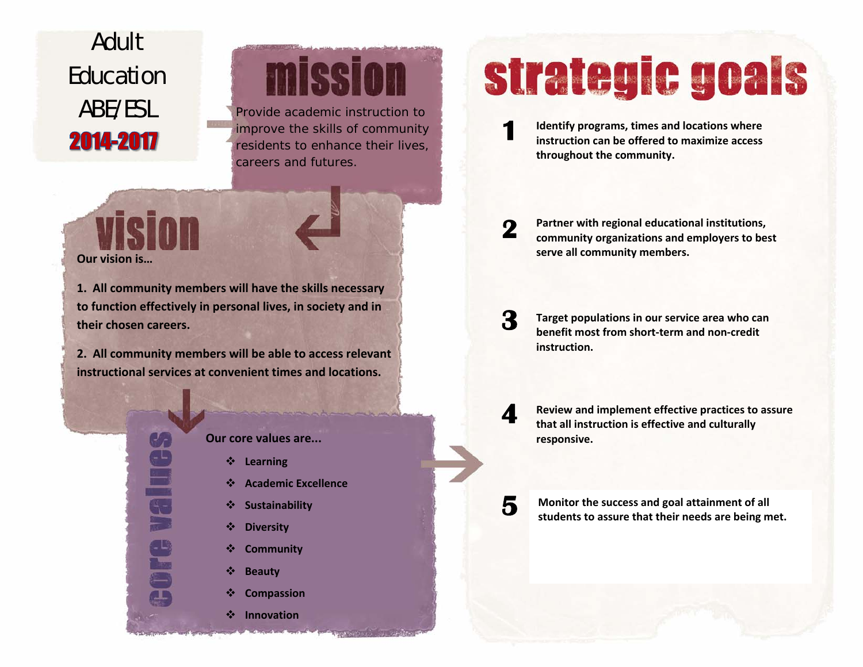## <span id="page-12-0"></span>Adult Education 2014-2017

# mission

ABE/ESL Provide academic instruction to improve the skills of community residents to enhance their lives, careers and futures.

**Our vision is…**

VISION

**1. All community members will have the skills necessary to function effectively in personal lives, in society and in their chosen careers.**

**2. All community members will be able to access relevant instructional services at convenient times and locations.**



- ❖ **Learning**
- ❖ **Academic Excellence**
- 绝 **Sustainability**
- $\frac{1}{2}$ **Diversity**
- ❖ **Community**
- ❖ **Beauty**
- ❖ **Compassion**
- ÷ **Innovation**

# strategic goals

**Identify programs, times and locations where instruction can be offered to maximize access throughout the community. 1** 

**Partner with regional educational institutions, community organizations and employers to best serve all community members. 2** 

**Target populations in our service area who can benefit most from short‐term and non‐credit instruction.3** 

**4** 

**5** 

**Review and implement effective practices to assure that all instruction is effective and culturally responsive.**

**Monitor the success and goal attainment of all students to assure that their needs are being met.**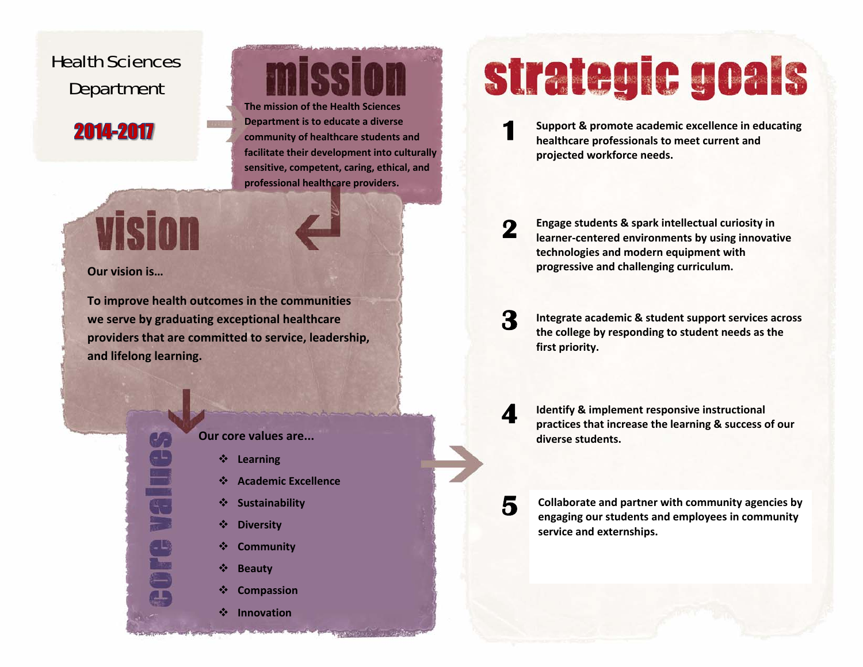## <span id="page-13-0"></span>Health Sciences Department

## 2014-2017

**The mission of the Health Sciences Department is to educate <sup>a</sup> diverse community of healthcare students and facilitate their development into culturally sensitive, competent, caring, ethical, and professional healthcare providers.**

**Vision** 

### **Our vision is…**

**To improve health outcomes in the communities we serve by graduating exceptional healthcare providers that are committed to service, leadership, and lifelong learning.**

### **Our core values are...**

- **Learning**
- **Academic Excellence**
- **Sustainability**
- $\frac{1}{2}$ **Diversity**
- ❖ **Community**
- 鼞 **Beauty**
- ❖ **Compassion**
- **Innovation**

# strategic goals

**Support & promote academic excellence in educating healthcare professionals to meet current and projected workforce needs. 1** 

**Engage students & spark intellectual curiosity in learner‐centered environments by using innovative technologies and modern equipment with progressive and challenging curriculum. 2** 

**Integrate academic & student support services across the college by responding to student needs as the first priority. 3** 

**Identify & implement responsive instructional practices that increase the learning & success of our diverse students.**

**4** 

**5** 

**Collaborate and partner with community agencies by engaging our students and employees in community service and externships.**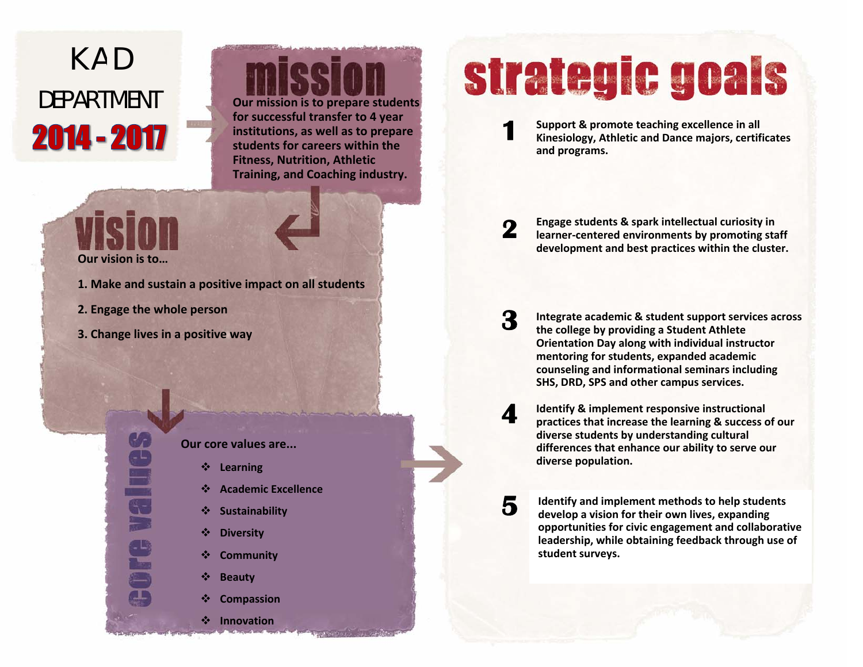# <span id="page-14-0"></span>K A D 2014 - 2017

# DEPARTMENT **Our mission is to prepare students**

**for successful transfer to 4 year institutions, as well as to prepare students for careers within the Fitness, Nutrition, Athletic Training, and Coaching industry.**

## **Our vision is to…**

- **1. Make and sustain <sup>a</sup> positive impact on all students**
- **2. Engage the whole person**

Value

**3. Change lives in <sup>a</sup> positive way**

**Our core values are...**

- $\frac{1}{2}$ **Learning**
- ❖ **Academic Excellence**
- ❖ **Sustainability**
- $\frac{1}{2}$ **Diversity**
- ❖ **Community**
- 参 **Beauty**

 $\frac{1}{2}$ 

❖ **Compassion**

**Innovation**

# strategic goals

**Support & promote teaching excellence in all Kinesiology, Athletic and Dance majors, certificates and programs. 1** 

**Engage students & spark intellectual curiosity in learner‐centered environments by promoting staff development and best practices within the cluster. 2** 

**Integrate academic & student support services across the college by providing <sup>a</sup> Student Athlete Orientation Day along with individual instructor mentoring for students, expanded academic counseling and informational seminars including SHS, DRD, SPS and other campus services. 3** 

**Identify & implement responsive instructional practices that increase the learning & success of our diverse students by understanding cultural differences that enhance our ability to serve our diverse population. 4** 

**Identify and implement methods to help students develop <sup>a</sup> vision for their own lives, expanding opportunities for civic engagement and collaborative leadership, while obtaining feedback through use of student surveys.**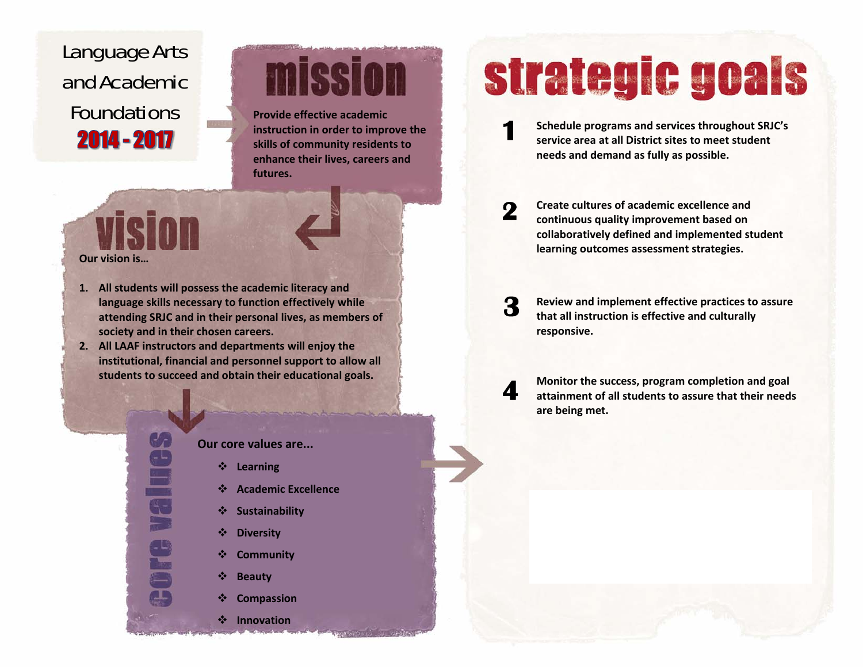## <span id="page-15-0"></span>Language Arts and Academic Foundations **Provide effective academic** 2014 - 2017

# mission

**instruction in order to improve the skills of community residents to enhance their lives, careers and futures.**

## VISIAN **Our vision is…**

### **1. All students will possess the academic literacy and language skills necessary to function effectively while attending SRJC and in their personal lives, as members of society and in their chosen careers.**

**2. All LAAF instructors and departments will enjoy the institutional, financial and personnel support to allow all students to succeed and obtain their educational goals.**



### **Our core values are...**

- **Learning**
- **Academic Excellence**
- **Sustainability**
- ❖ **Diversity**
- ❖ **Community**
- ❖ **Beauty**
- ❖ **Compassion**

### **Innovation**

# strategic goals

**Schedule programs and services throughout SRJC's service area at all District sites to meet student needs and demand as fully as possible. 1** 

**Create cultures of academic excellence andcontinuous quality improvement based on collaboratively defined and implemented student learning outcomes assessment strategies. 2** 

**Review and implement effective practices to assure that all instruction is effective and culturally responsive. 3** 

**Monitor the success, program completion and goal attainment of all students to assure that their needs are being met.**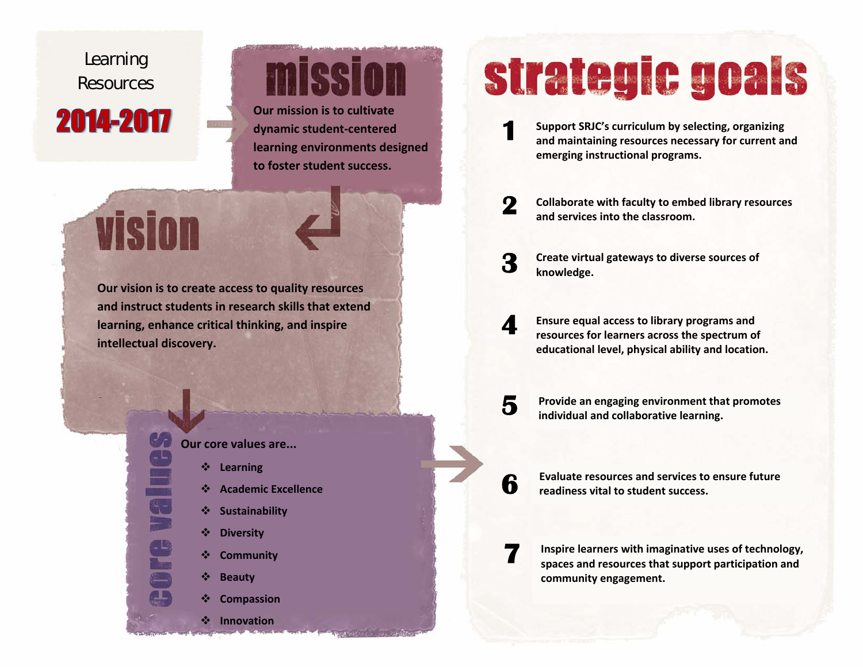## <span id="page-16-0"></span>Learning Resources 2014-2017

vision

**2**

# mission

**Our mission is to cultivate dynamic student‐centered learning environments designed to foster student success.**

**Our vision is to create access to quality resources and instruct students in research skills that extend learning, enhance critical thinking, and inspire intellectual discovery.**



- ❖ **Learning**
- **Academic Excellence**
- ❖ **Sustainability**
- $\frac{1}{2}$ **Diversity**
- ❖ **Community**
- ❖ **Beauty**
- ❖ **Compassion**

**Innovation**

# strategic goals

**Support SRJC's curriculum by selecting, organizing and maintaining resources necessary for current and emerging instructional programs. 1** 

**Collaborate with faculty to embed library resources and services into the classroom.**

**Create virtual gateways to diverse sources of knowledge. 3** 

**2** 

**5** 

**Ensure equal access to library programs and resources for learners across the spectrum of educational level, physical ability and location. 4** 

**Provide an engaging environment that promotes individual and collaborative learning.**

**6 Evaluate resources and services to ensure future readinessvital to student success.**

**7 Inspire learners with imaginative uses of technology, spaces and resources that support participation and community engagement.**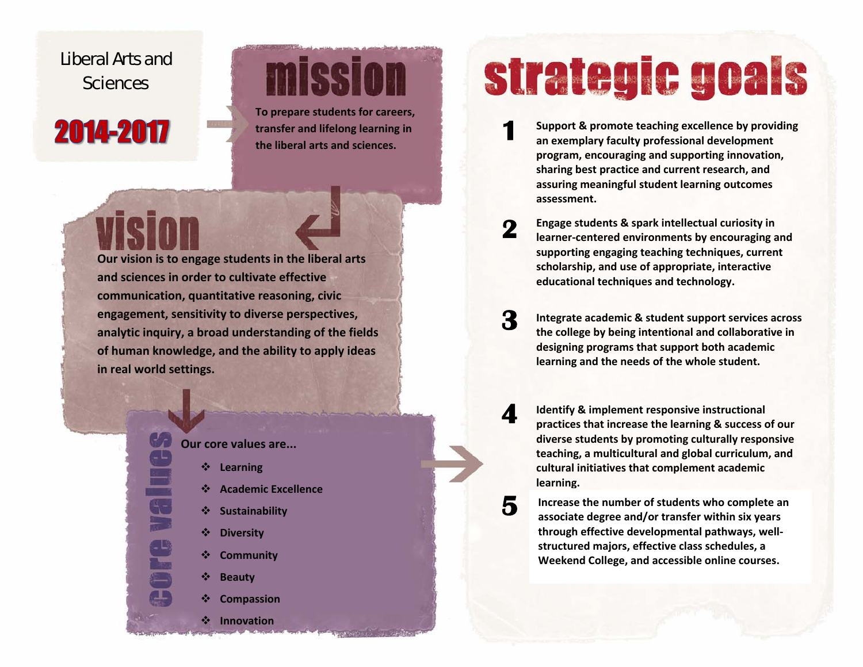## <span id="page-17-0"></span>Liberal Arts and **Sciences**

## 2014-2017

# **mission**

**To prepare students for careers, transfer and lifelong learning in the liberal arts and sciences.**

**Our vision is to engage students in the liberal arts and sciences in order to cultivate effective communication, quantitative reasoning, civic engagement, sensitivity to diverse perspectives, analytic inquiry, <sup>a</sup> broad understanding of the fields of human knowledge, and the ability to apply ideas in real world settings.**



- ❖ **Learning**
- ❖ **Academic Excellence**
- ❖ **Sustainability**
- $\frac{1}{2}$ **Diversity**
- ❖ **Community**
- ❖ **Beauty**
- ❖ **Compassion**

**Innovation**

# strategic goals

- **Support & promote teaching excellence by providing an exemplary faculty professional development program, encouraging and supporting innovation, sharing best practice and current research, and assuring meaningful student learning outcomes assessment.1**
- **Engage students & spark intellectual curiosity in learner‐centered environments by encouraging and supporting engaging teaching techniques, current scholarship, and use of appropriate, interactive educational techniques and technology. 2**
- **Integrate academic & student support services across the college by being intentional and collaborative in designing programs that support both academic learning and the needs of the whole student. 3**
- **Identify & implement responsive instructional practices that increase the learning & success of our diverse students by promoting culturally responsive teaching, <sup>a</sup> multicultural and global curriculum, and cultural initiatives that complement academic learning. 4** 
	- **Increase the number of students who complete an associate degree and/or transfer within six years through effective developmental pathways, well‐ structured majors, effective class schedules, <sup>a</sup> Weekend College, and accessible online courses.**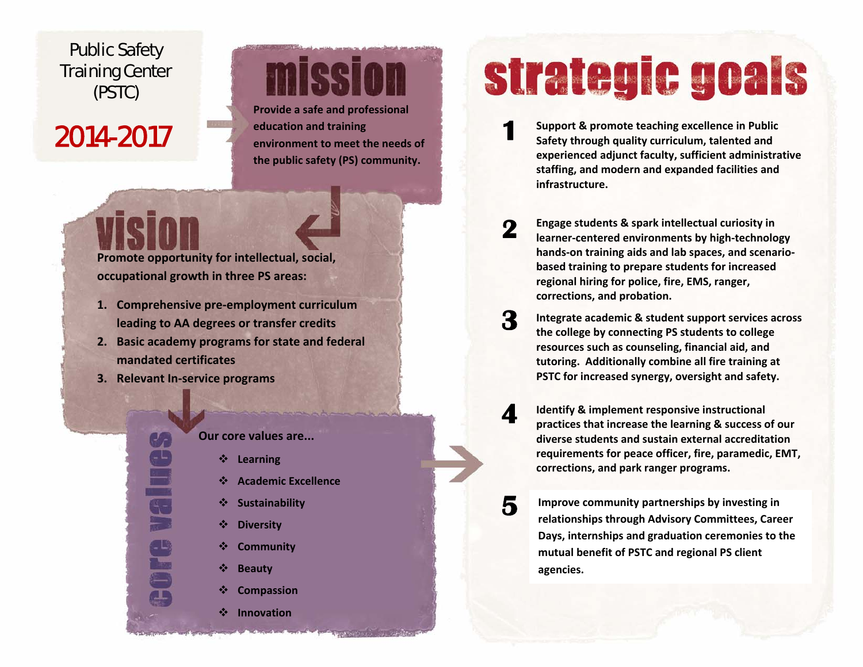### <span id="page-18-0"></span>Public Safety Training Center (PSTC)

## 2014-2017

# mission

**Provide <sup>a</sup> safe and professional education and training environment to meet the needs of the public safety (PS) community.**

**Promote opportunity for intellectual, social, occupational growth in three PS areas:**

- **1. Comprehensive pre‐employment curriculum leading to AA degrees or transfer credits**
- **2. Basic academy programs for state and federal mandated certificates**
- **3. Relevant In‐service programs**

### **Our core values are...**

- **Learning**
- **Academic Excellence**
- **Sustainability**
- $\frac{1}{2}$ **Diversity**
- ❖ **Community**
- ❖ **Beauty**
- ❖ **Compassion**
- **Innovation**

# strategic goals

**Support & promote teaching excellence in Public Safety through quality curriculum, talented and experienced adjunct faculty, sufficient administrative staffing, and modern and expanded facilities and infrastructure.1** 

**Engage students & spark intellectual curiosity in learner‐centered environments by high‐technology hands‐on training aids and lab spaces, and scenario‐ based training to prepare students for increased regional hiring for police, fire, EMS, ranger, corrections, and probation. 2** 

**Integrate academic & student support services across the college by connecting PS students to college resources such as counseling, financial aid, and tutoring. Additionally combine all fire training at PSTC for increased synergy, oversight and safety. 3** 

**Identify & implement responsive instructional practices that increase the learning & success of our diverse students and sustain external accreditation requirements for peace officer, fire, paramedic, EMT, corrections, and park ranger programs. 4** 

**Improve community partnerships by investing in relationships through Advisory Committees, Career Days, internships and graduation ceremonies to the mutual benefit of PSTC and regional PS client agencies.**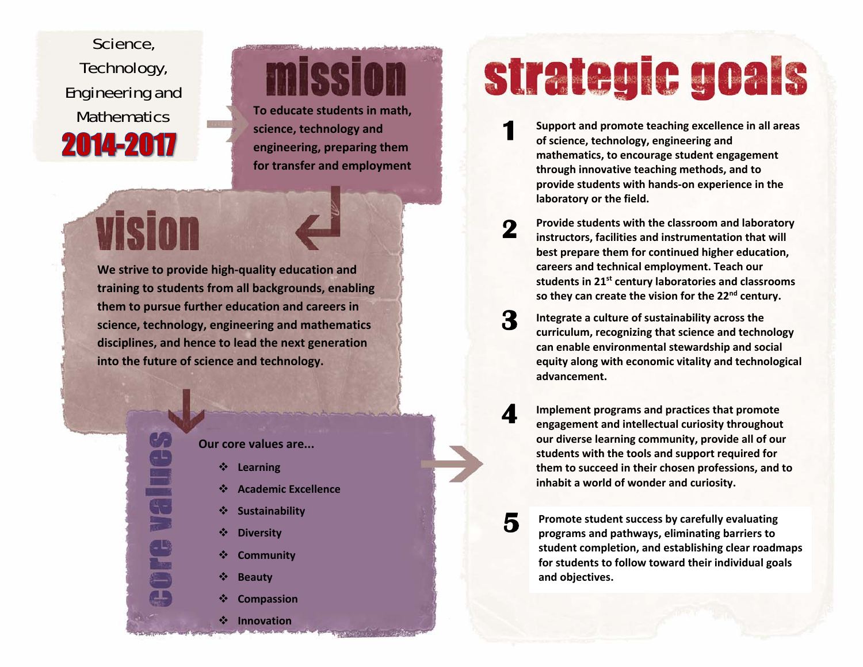<span id="page-19-0"></span>Science, Technology, Engineering and 2014-2017

**Vision** 

# mission

Mathematics **To educate students in math, science, technology and engineering, preparing them for transfer and employment**

**We strive to provide high‐quality education and training to students from all backgrounds, enabling them to pursue further education and careers in science, technology, engineering and mathematics disciplines, and hence to lead the next generation into the future of science and technology.**

### **Our core values are...**

- **Learning**
- **Academic Excellence**
- 察 **Sustainability**
- $\frac{1}{2}$ **Diversity**
- ❖ **Community**
- $\frac{1}{2}$ **Beauty**
- $\frac{1}{2}$ **Compassion**

**Innovation**

# strategic goals

- **Support and promote teaching excellence in all areas of science, technology, engineering and mathematics, to encourage student engagement through innovative teaching methods, and to provide students with hands‐on experience in the laboratory or the field. 1**
- **Provide students with the classroom and laboratory instructors, facilities and instrumentation that will best prepare them for continued higher education, careers and technical employment. Teach our students in 21s<sup>t</sup> century laboratories and classrooms so they can create the vision for the 22n<sup>d</sup> century. 2**
- **Integrate <sup>a</sup> culture of sustainability across the curriculum, recognizing that science and technology can enable environmental stewardship and social equity along with economic vitality and technological advancement.3**
- **Implement programs and practices that promote engagement and intellectual curiosity throughout our diverse learning community, provide all of our students with the tools and support required for them to succeed in their chosen professions, and to inhabit a world of wonder and curiosity. 4**

**Promote student success by carefully evaluating programs and pathways, eliminating barriers to student completion, and establishing clear roadmaps for students to follow toward their individual goals and objectives.**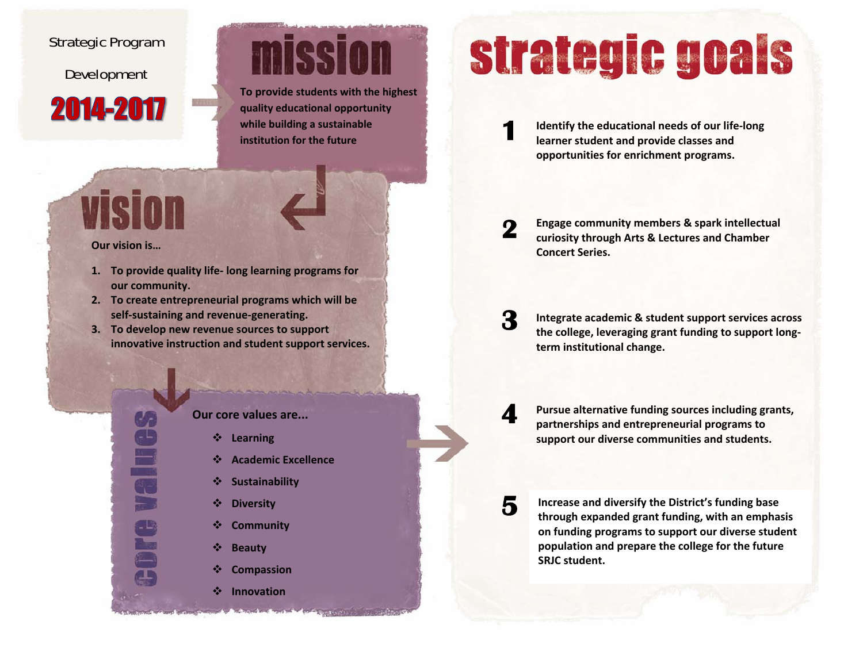### <span id="page-20-0"></span>Strategic Program

Development

2014-2017

# miceir

**To provide students with the highest quality educational opportunity while building <sup>a</sup> sustainable institution for the future**

### **Our vision is…**

VISI

- **1. To provide quality life‐ long learning programs for our community.**
- **2. To create entrepreneurial programs which will be self‐sustaining and revenue‐generating.**
- **3. To develop new revenue sources to support innovative instruction and student support services.**

### **Our core values are...**

- $\frac{1}{2}$ **Learning**
- ❖ **Academic Excellence**
- ❖ **Sustainability**
- $\frac{1}{2}$ **Diversity**
- $\frac{1}{2}$ **Community**
- $\mathbf{v}$ **Beauty**
- ❖ **Compassion**
- $\frac{1}{2}$ **Innovation**

# strategic goals

**Identify the educational needs of our life‐long learner student and provide classes and opportunities for enrichment programs.**

**Engage community members & spark intellectual curiosity through Arts & Lectures and Chamber Concert Series. 2** 

**Integrate academic & student support services across the college, leveraging grant funding to support long‐ term institutional change. 3** 

> **Pursue alternative funding sources including grants, partnerships and entrepreneurial programs to support our diverse communities and students.**

**4** 

**5** 

**1** 

**Increase and diversify the District's funding base through expanded grant funding, with an emphasis on funding programs to support our diverse student population and prepare the college for the future SRJC student.**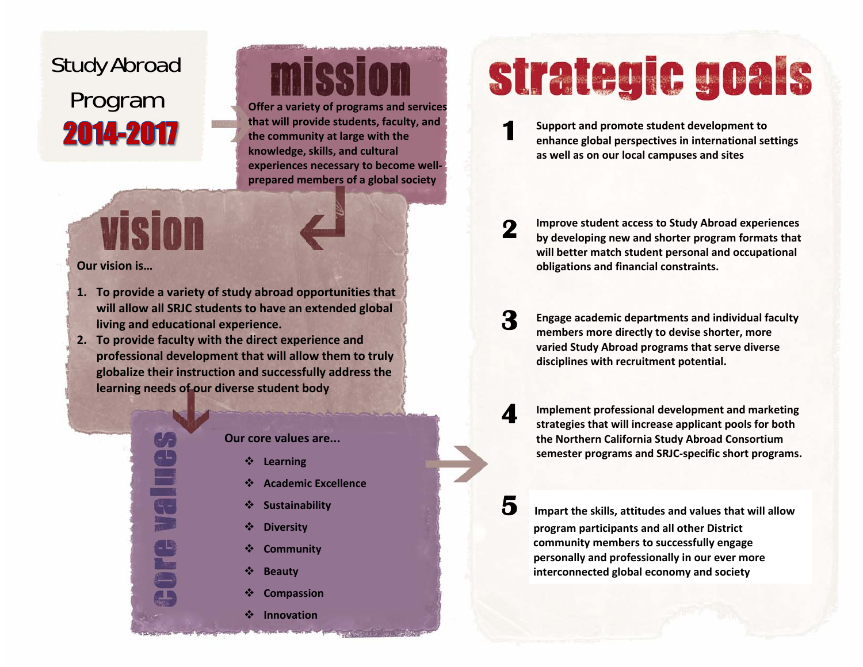## <span id="page-21-0"></span>Study Abroad Program **Offer <sup>a</sup> variety of programs and services** 2014-2017

# micci

**that will provide students, faculty, and the community at large with the knowledge, skills, and cultural experiences necessary to become well‐ prepared members of <sup>a</sup> global society**

### **Our vision is…**

vision

- **1. To provide <sup>a</sup> variety of study abroad opportunities that will allow all SRJC students to have an extended global living and educational experience.**
- **2. To provide faculty with the direct experience and professional development that will allow them to truly globalize their instruction and successfully address the learning needs of our diverse student body**



**Our core values are...**

- 榛 **Learning**
- **Academic Excellence**
- 鼞 **Sustainability**
- $\frac{1}{2}$ **Diversity**
- ÷ **Community**
- ❖ **Beauty**
- ❖ **Compassion**
- $\frac{1}{2}$ **Innovation**

# strategic goals

**Support and promote student development to enhance global perspectives in international settings as well as on our local campuses and sites**

**Improve student access to Study Abroad experiences by developing new and shorter program formats that will better match student personal and occupational obligations and financial constraints. 2** 

**Engage academic departments and individual faculty members more directly to devise shorter, more varied Study Abroad programs that serve diverse disciplines with recruitment potential. 3** 

**Implement professional development and marketing strategies that will increase applicant pools for both the Northern California Study Abroad Consortium semester programs and SRJC‐specific short programs.**

**4** 

**5**

**1** 

 **Impart the skills, attitudes and values that will allow program participants and all other District community members to successfully engage personally and professionally in our ever more interconnected global economy and society**